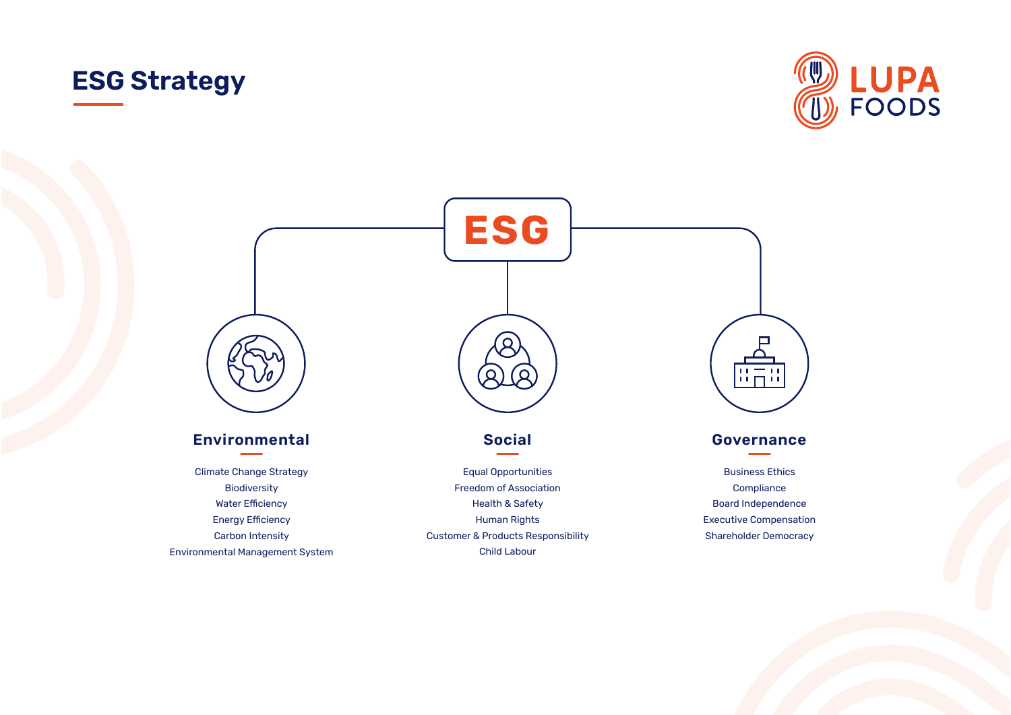# **ESG Strategy**